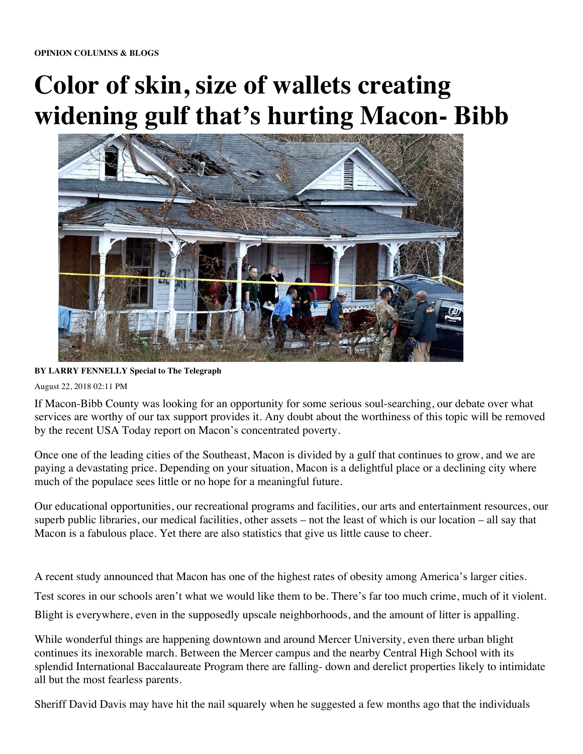## **Color of skin, size of wallets creating widening gulf that's hurting Macon- Bibb**



**BY LARRY FENNELLY Special to The Telegraph** 

August 22, 2018 02:11 PM

If Macon-Bibb County was looking for an opportunity for some serious soul-searching, our debate over what services are worthy of our tax support provides it. Any doubt about the worthiness of this topic will be removed by the recent USA Today report on Macon's concentrated poverty.

Once one of the leading cities of the Southeast, Macon is divided by a gulf that continues to grow, and we are paying a devastating price. Depending on your situation, Macon is a delightful place or a declining city where much of the populace sees little or no hope for a meaningful future.

Our educational opportunities, our recreational programs and facilities, our arts and entertainment resources, our superb public libraries, our medical facilities, other assets – not the least of which is our location – all say that Macon is a fabulous place. Yet there are also statistics that give us little cause to cheer.

A recent study announced that Macon has one of the highest rates of obesity among America's larger cities.

Test scores in our schools aren't what we would like them to be. There's far too much crime, much of it violent.

Blight is everywhere, even in the supposedly upscale neighborhoods, and the amount of litter is appalling.

While wonderful things are happening downtown and around Mercer University, even there urban blight continues its inexorable march. Between the Mercer campus and the nearby Central High School with its splendid International Baccalaureate Program there are falling- down and derelict properties likely to intimidate all but the most fearless parents.

Sheriff David Davis may have hit the nail squarely when he suggested a few months ago that the individuals